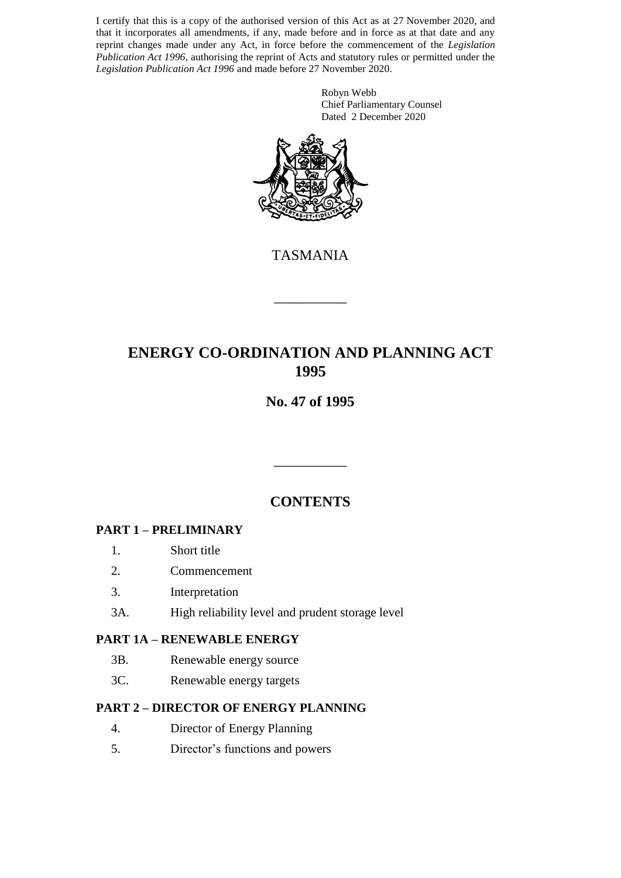I certify that this is a copy of the authorised version of this Act as at 27 November 2020, and that it incorporates all amendments, if any, made before and in force as at that date and any reprint changes made under any Act, in force before the commencement of the *Legislation Publication Act 1996*, authorising the reprint of Acts and statutory rules or permitted under the *Legislation Publication Act 1996* and made before 27 November 2020.

> Robyn Webb Chief Parliamentary Counsel Dated 2 December 2020



TASMANIA

\_\_\_\_\_\_\_\_\_\_

# **ENERGY CO-ORDINATION AND PLANNING ACT 1995**

## **No. 47 of 1995**

## **CONTENTS**

\_\_\_\_\_\_\_\_\_\_

#### **PART 1 – PRELIMINARY**

- 1. Short title
- 2. Commencement
- 3. Interpretation
- 3A. High reliability level and prudent storage level

#### **PART 1A – RENEWABLE ENERGY**

- 3B. Renewable energy source
- 3C. Renewable energy targets

#### **PART 2 – DIRECTOR OF ENERGY PLANNING**

- 4. Director of Energy Planning
- 5. Director's functions and powers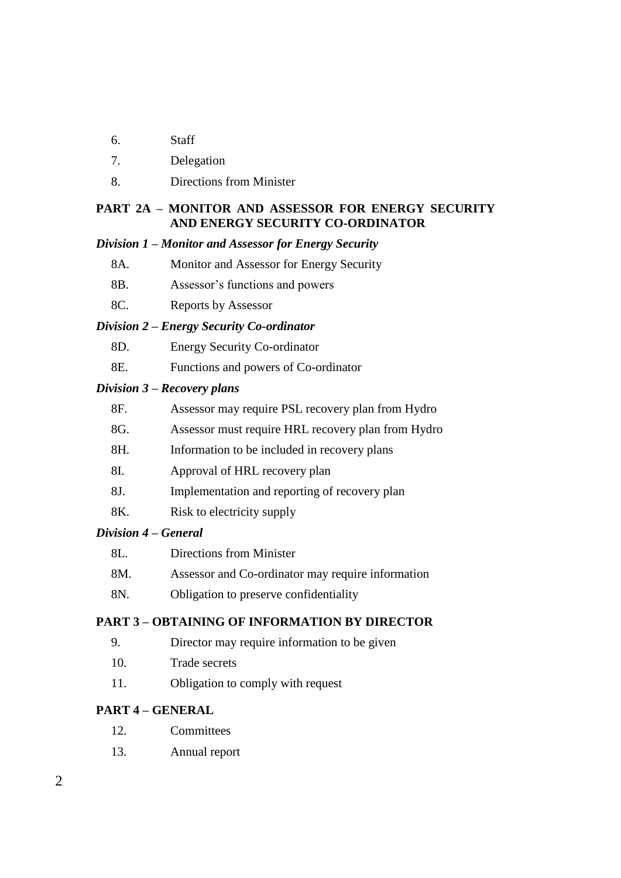- 6. Staff
- 7. Delegation
- 8. Directions from Minister

#### **PART 2A – MONITOR AND ASSESSOR FOR ENERGY SECURITY AND ENERGY SECURITY CO-ORDINATOR**

#### *Division 1 – Monitor and Assessor for Energy Security*

- 8A. Monitor and Assessor for Energy Security
- 8B. Assessor's functions and powers
- 8C. Reports by Assessor

#### *Division 2 – Energy Security Co-ordinator*

- 8D. Energy Security Co-ordinator
- 8E. Functions and powers of Co-ordinator

#### *Division 3 – Recovery plans*

| 8F. | Assessor may require PSL recovery plan from Hydro  |
|-----|----------------------------------------------------|
| 8G. | Assessor must require HRL recovery plan from Hydro |
| 8H. | Information to be included in recovery plans       |
| 8I. | Approval of HRL recovery plan                      |
| 8J. | Implementation and reporting of recovery plan      |
| 8K. | Risk to electricity supply                         |
|     |                                                    |

#### *Division 4 – General*

| 8L. | Directions from Minister                          |
|-----|---------------------------------------------------|
| 8M. | Assessor and Co-ordinator may require information |
| 8N. | Obligation to preserve confidentiality            |

#### **PART 3 – OBTAINING OF INFORMATION BY DIRECTOR**

- 9. Director may require information to be given
- 10. Trade secrets
- 11. Obligation to comply with request

#### **PART 4 – GENERAL**

- 12. Committees
- 13. Annual report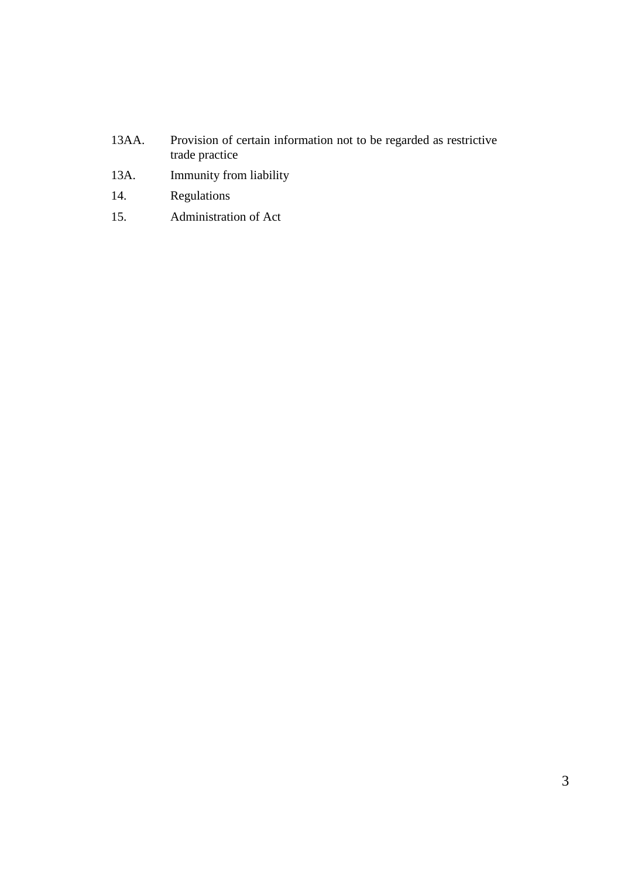- 13AA. Provision of certain information not to be regarded as restrictive trade practice
- 13A. Immunity from liability
- 14. Regulations
- 15. Administration of Act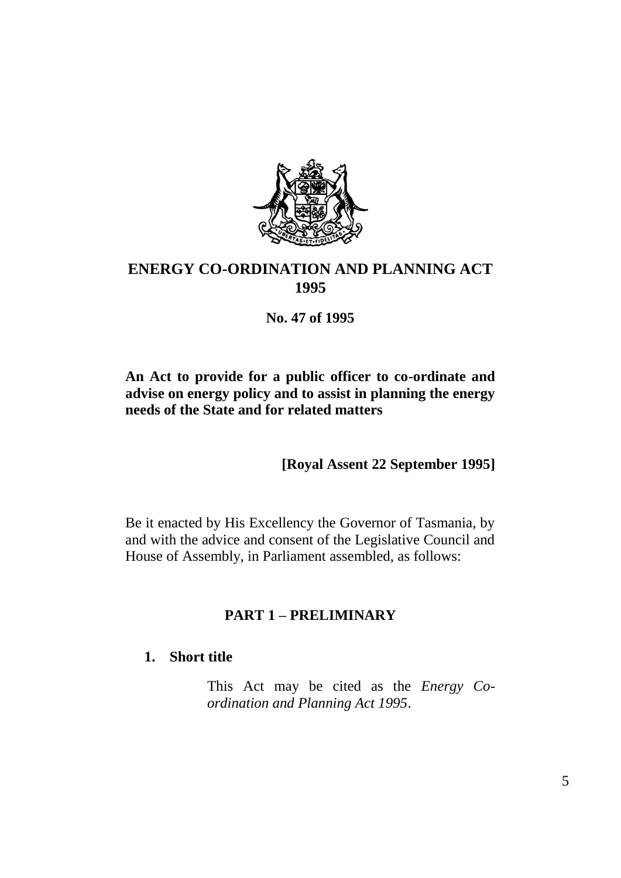

# **ENERGY CO-ORDINATION AND PLANNING ACT 1995**

**No. 47 of 1995**

## **An Act to provide for a public officer to co-ordinate and advise on energy policy and to assist in planning the energy needs of the State and for related matters**

**[Royal Assent 22 September 1995]**

Be it enacted by His Excellency the Governor of Tasmania, by and with the advice and consent of the Legislative Council and House of Assembly, in Parliament assembled, as follows:

# **PART 1 – PRELIMINARY**

## **1. Short title**

This Act may be cited as the *Energy Coordination and Planning Act 1995*.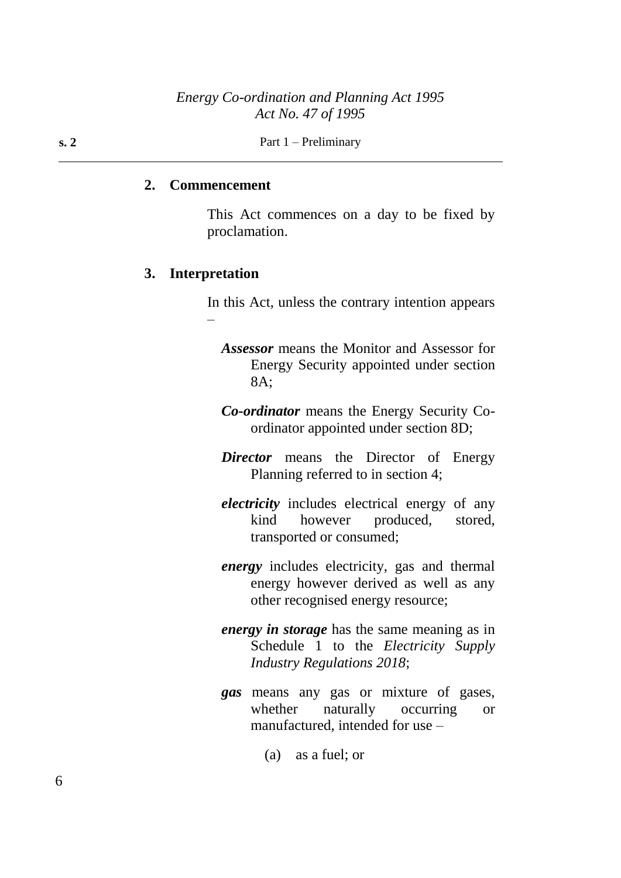**s. 2** Part 1 – Preliminary

#### **2. Commencement**

This Act commences on a day to be fixed by proclamation.

#### **3. Interpretation**

In this Act, unless the contrary intention appears –

- *Assessor* means the Monitor and Assessor for Energy Security appointed under section 8A;
- *Co-ordinator* means the Energy Security Coordinator appointed under section 8D;
- *Director* means the Director of Energy Planning referred to in section 4;
- *electricity* includes electrical energy of any kind however produced, stored, transported or consumed;
- *energy* includes electricity, gas and thermal energy however derived as well as any other recognised energy resource;
- *energy in storage* has the same meaning as in Schedule 1 to the *Electricity Supply Industry Regulations 2018*;
- *gas* means any gas or mixture of gases, whether naturally occurring or manufactured, intended for use –
	- (a) as a fuel; or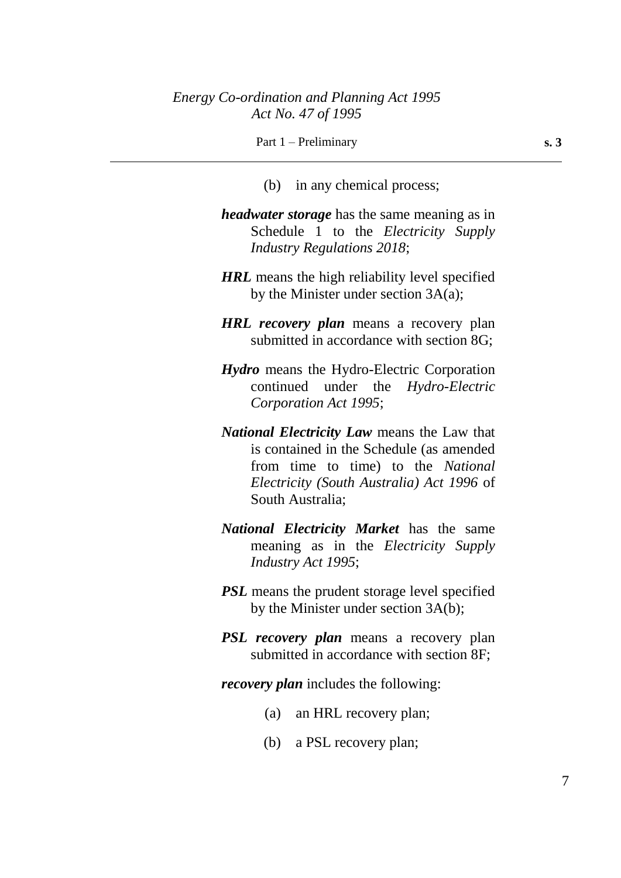#### Part 1 – Preliminary **s. 3**

- (b) in any chemical process;
- *headwater storage* has the same meaning as in Schedule 1 to the *Electricity Supply Industry Regulations 2018*;
- *HRL* means the high reliability level specified by the Minister under section  $3A(a)$ ;
- *HRL recovery plan* means a recovery plan submitted in accordance with section 8G;
- *Hydro* means the Hydro-Electric Corporation continued under the *Hydro-Electric Corporation Act 1995*;
- *National Electricity Law* means the Law that is contained in the Schedule (as amended from time to time) to the *National Electricity (South Australia) Act 1996* of South Australia;
- *National Electricity Market* has the same meaning as in the *Electricity Supply Industry Act 1995*;
- *PSL* means the prudent storage level specified by the Minister under section 3A(b);
- *PSL recovery plan* means a recovery plan submitted in accordance with section 8F;
- *recovery plan* includes the following:
	- (a) an HRL recovery plan;
	- (b) a PSL recovery plan;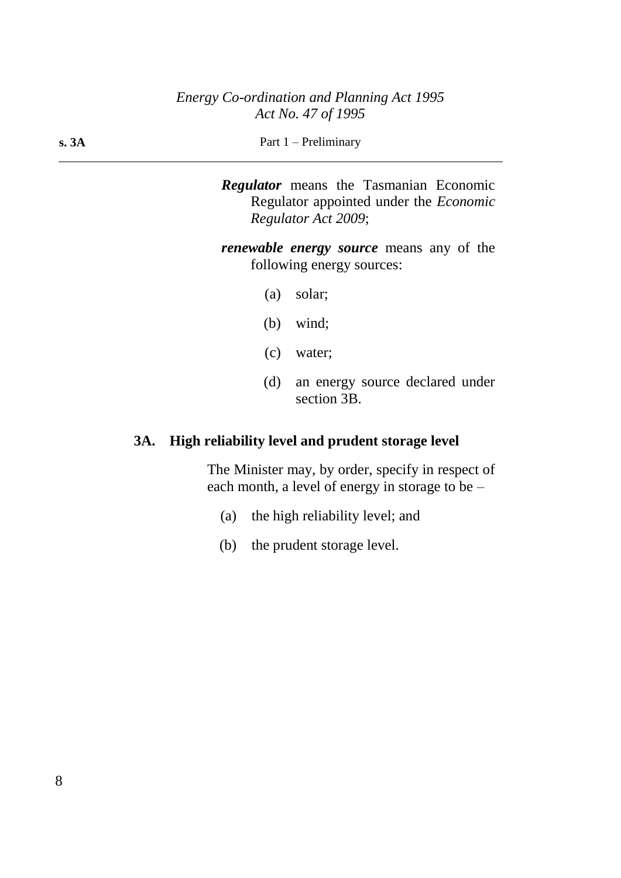| Part $1$ – Preliminary |
|------------------------|
|                        |

*Regulator* means the Tasmanian Economic Regulator appointed under the *Economic Regulator Act 2009*;

*renewable energy source* means any of the following energy sources:

- (a) solar;
- (b) wind;
- (c) water;
- (d) an energy source declared under section 3B.

# **3A. High reliability level and prudent storage level**

The Minister may, by order, specify in respect of each month, a level of energy in storage to be –

- (a) the high reliability level; and
- (b) the prudent storage level.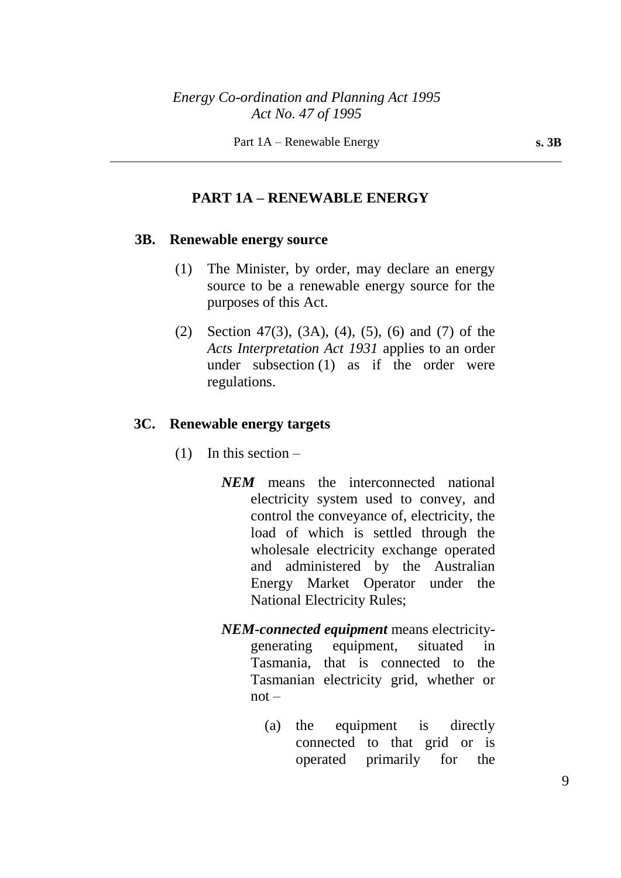#### **PART 1A – RENEWABLE ENERGY**

#### **3B. Renewable energy source**

- (1) The Minister, by order, may declare an energy source to be a renewable energy source for the purposes of this Act.
- (2) Section 47(3), (3A), (4), (5), (6) and (7) of the *Acts Interpretation Act 1931* applies to an order under subsection (1) as if the order were regulations.

#### **3C. Renewable energy targets**

- $(1)$  In this section
	- *NEM* means the interconnected national electricity system used to convey, and control the conveyance of, electricity, the load of which is settled through the wholesale electricity exchange operated and administered by the Australian Energy Market Operator under the National Electricity Rules;
	- *NEM-connected equipment* means electricitygenerating equipment, situated in Tasmania, that is connected to the Tasmanian electricity grid, whether or  $not -$ 
		- (a) the equipment is directly connected to that grid or is operated primarily for the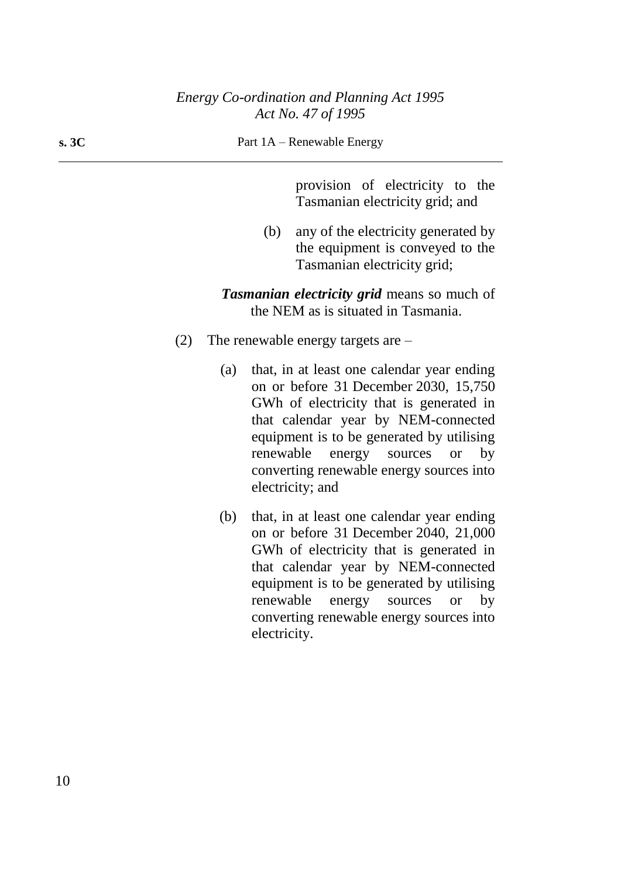**s. 3C** Part 1A – Renewable Energy

provision of electricity to the Tasmanian electricity grid; and

(b) any of the electricity generated by the equipment is conveyed to the Tasmanian electricity grid;

*Tasmanian electricity grid* means so much of the NEM as is situated in Tasmania.

- (2) The renewable energy targets are
	- (a) that, in at least one calendar year ending on or before 31 December 2030, 15,750 GWh of electricity that is generated in that calendar year by NEM-connected equipment is to be generated by utilising renewable energy sources or by converting renewable energy sources into electricity; and
	- (b) that, in at least one calendar year ending on or before 31 December 2040, 21,000 GWh of electricity that is generated in that calendar year by NEM-connected equipment is to be generated by utilising renewable energy sources or by converting renewable energy sources into electricity.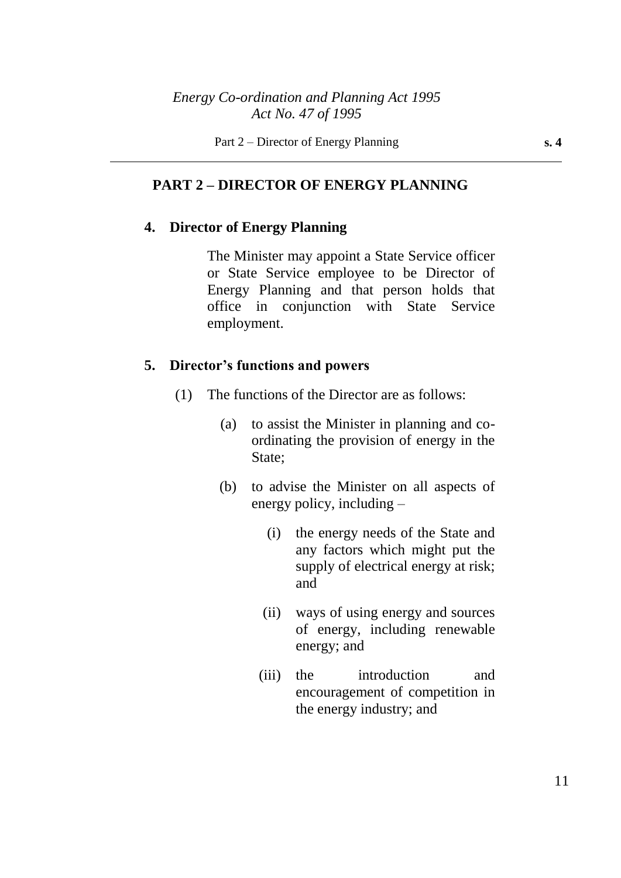## **PART 2 – DIRECTOR OF ENERGY PLANNING**

#### **4. Director of Energy Planning**

The Minister may appoint a State Service officer or State Service employee to be Director of Energy Planning and that person holds that office in conjunction with State Service employment.

#### **5. Director's functions and powers**

- (1) The functions of the Director are as follows:
	- (a) to assist the Minister in planning and coordinating the provision of energy in the State;
	- (b) to advise the Minister on all aspects of energy policy, including –
		- (i) the energy needs of the State and any factors which might put the supply of electrical energy at risk; and
		- (ii) ways of using energy and sources of energy, including renewable energy; and
		- (iii) the introduction and encouragement of competition in the energy industry; and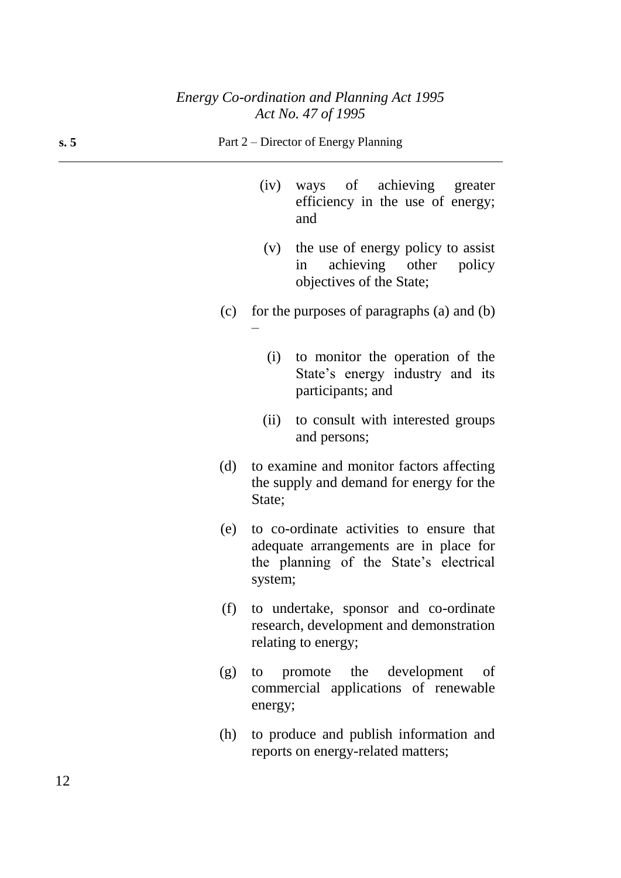#### **s. 5** Part 2 – Director of Energy Planning

–

- (iv) ways of achieving greater efficiency in the use of energy; and
- (v) the use of energy policy to assist in achieving other policy objectives of the State;
- (c) for the purposes of paragraphs (a) and (b)
	- (i) to monitor the operation of the State's energy industry and its participants; and
	- (ii) to consult with interested groups and persons;
- (d) to examine and monitor factors affecting the supply and demand for energy for the State;
- (e) to co-ordinate activities to ensure that adequate arrangements are in place for the planning of the State's electrical system;
- (f) to undertake, sponsor and co-ordinate research, development and demonstration relating to energy;
- (g) to promote the development of commercial applications of renewable energy;
- (h) to produce and publish information and reports on energy-related matters;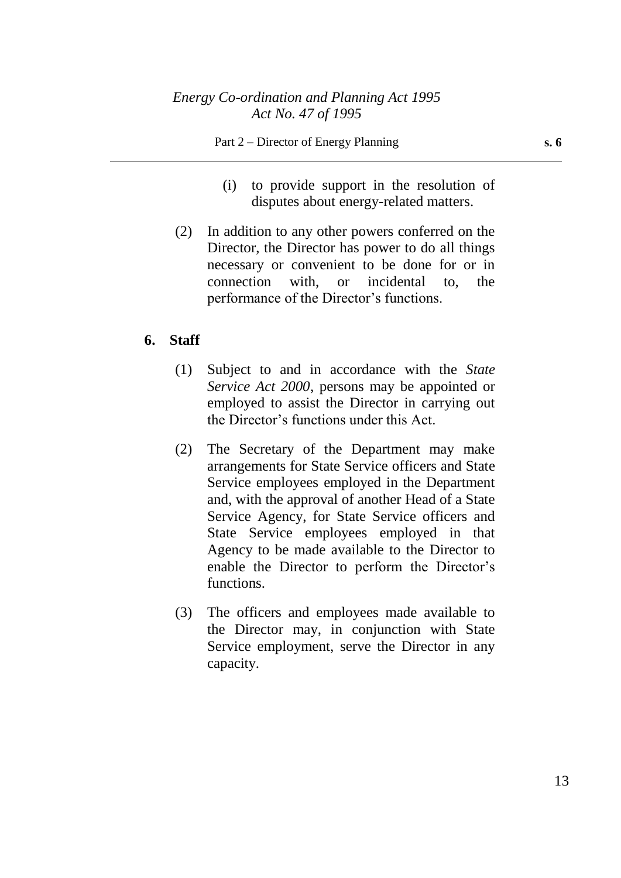- (i) to provide support in the resolution of disputes about energy-related matters.
- (2) In addition to any other powers conferred on the Director, the Director has power to do all things necessary or convenient to be done for or in connection with, or incidental to, the performance of the Director's functions.

## **6. Staff**

- (1) Subject to and in accordance with the *State Service Act 2000*, persons may be appointed or employed to assist the Director in carrying out the Director's functions under this Act.
- (2) The Secretary of the Department may make arrangements for State Service officers and State Service employees employed in the Department and, with the approval of another Head of a State Service Agency, for State Service officers and State Service employees employed in that Agency to be made available to the Director to enable the Director to perform the Director's functions.
- (3) The officers and employees made available to the Director may, in conjunction with State Service employment, serve the Director in any capacity.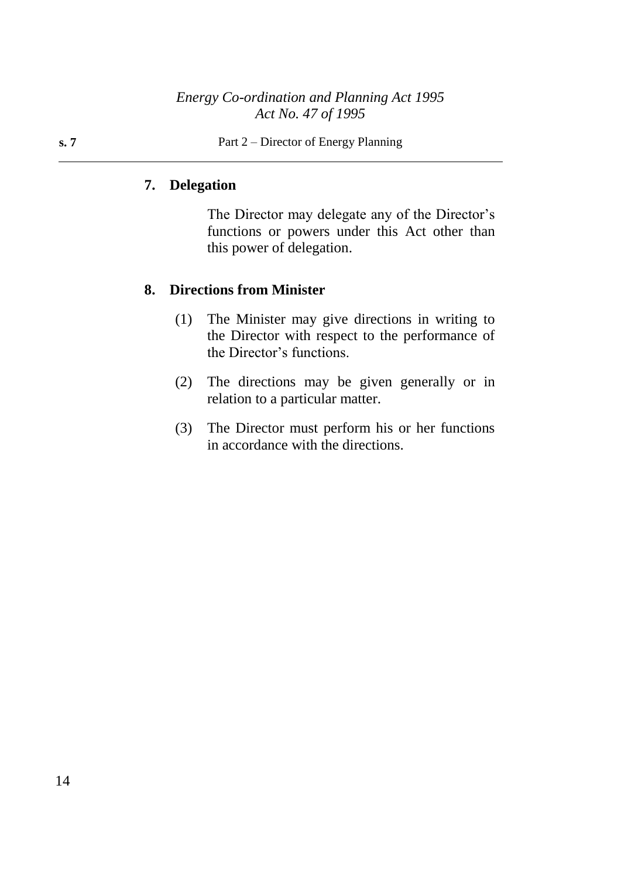#### **s. 7** Part 2 – Director of Energy Planning

## **7. Delegation**

The Director may delegate any of the Director's functions or powers under this Act other than this power of delegation.

## **8. Directions from Minister**

- (1) The Minister may give directions in writing to the Director with respect to the performance of the Director's functions.
- (2) The directions may be given generally or in relation to a particular matter.
- (3) The Director must perform his or her functions in accordance with the directions.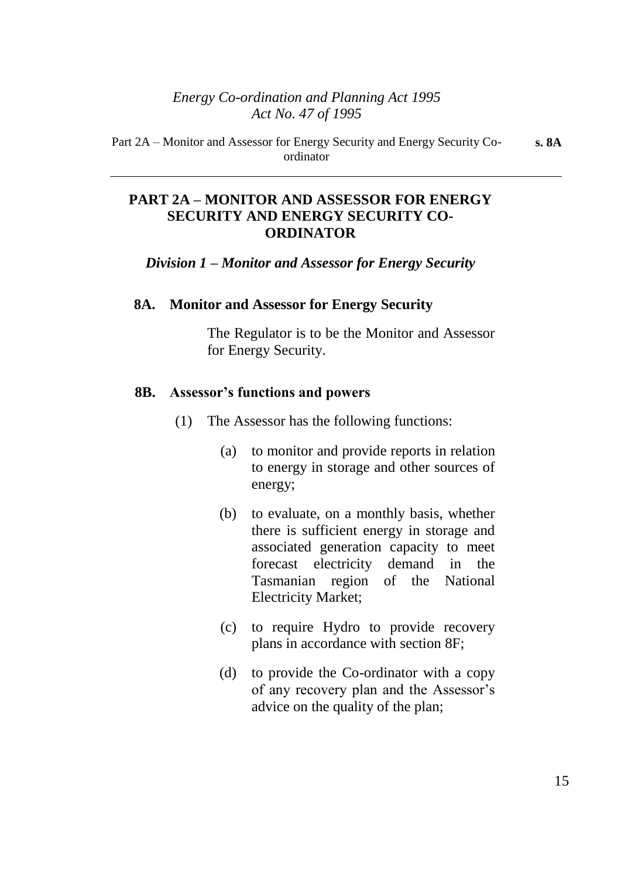## **PART 2A – MONITOR AND ASSESSOR FOR ENERGY SECURITY AND ENERGY SECURITY CO-ORDINATOR**

*Division 1 – Monitor and Assessor for Energy Security*

#### **8A. Monitor and Assessor for Energy Security**

The Regulator is to be the Monitor and Assessor for Energy Security.

#### **8B. Assessor's functions and powers**

- (1) The Assessor has the following functions:
	- (a) to monitor and provide reports in relation to energy in storage and other sources of energy;
	- (b) to evaluate, on a monthly basis, whether there is sufficient energy in storage and associated generation capacity to meet forecast electricity demand in the Tasmanian region of the National Electricity Market;
	- (c) to require Hydro to provide recovery plans in accordance with section 8F;
	- (d) to provide the Co-ordinator with a copy of any recovery plan and the Assessor's advice on the quality of the plan;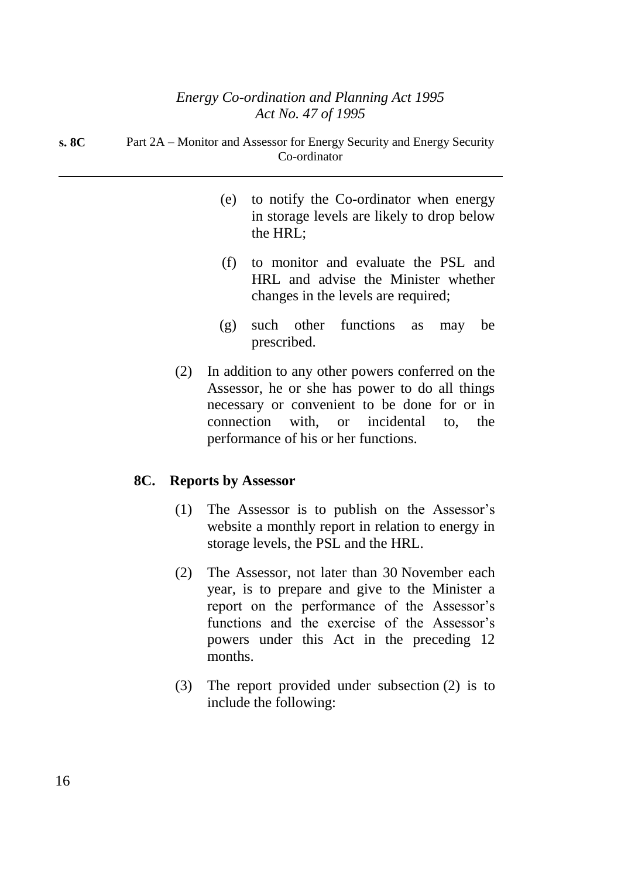| s. 8C | Part 2A – Monitor and Assessor for Energy Security and Energy Security |
|-------|------------------------------------------------------------------------|
|       | Co-ordinator                                                           |

- (e) to notify the Co-ordinator when energy in storage levels are likely to drop below the HRL;
- (f) to monitor and evaluate the PSL and HRL and advise the Minister whether changes in the levels are required;
- (g) such other functions as may be prescribed.
- (2) In addition to any other powers conferred on the Assessor, he or she has power to do all things necessary or convenient to be done for or in connection with, or incidental to, the performance of his or her functions.

## **8C. Reports by Assessor**

- (1) The Assessor is to publish on the Assessor's website a monthly report in relation to energy in storage levels, the PSL and the HRL.
- (2) The Assessor, not later than 30 November each year, is to prepare and give to the Minister a report on the performance of the Assessor's functions and the exercise of the Assessor's powers under this Act in the preceding 12 months.
- (3) The report provided under subsection (2) is to include the following: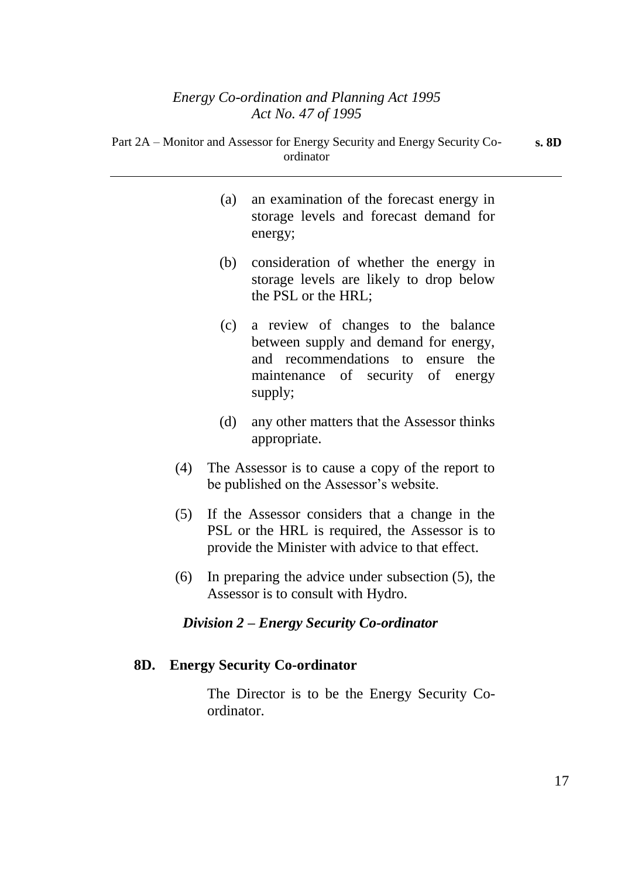Part 2A – Monitor and Assessor for Energy Security and Energy Security Co-

|     | ordinator                                                                                                |
|-----|----------------------------------------------------------------------------------------------------------|
| (a) | an examination of the forecast energy in<br>storage levels and forecast demand for<br>energy;            |
| (b) | consideration of whether the energy in<br>storage levels are likely to drop below<br>the PSL or the HRL; |
|     |                                                                                                          |

- (c) a review of changes to the balance between supply and demand for energy, and recommendations to ensure the maintenance of security of energy supply;
- (d) any other matters that the Assessor thinks appropriate.
- (4) The Assessor is to cause a copy of the report to be published on the Assessor's website.
- (5) If the Assessor considers that a change in the PSL or the HRL is required, the Assessor is to provide the Minister with advice to that effect.
- (6) In preparing the advice under subsection (5), the Assessor is to consult with Hydro.

## *Division 2 – Energy Security Co-ordinator*

## **8D. Energy Security Co-ordinator**

The Director is to be the Energy Security Coordinator.

**s. 8D**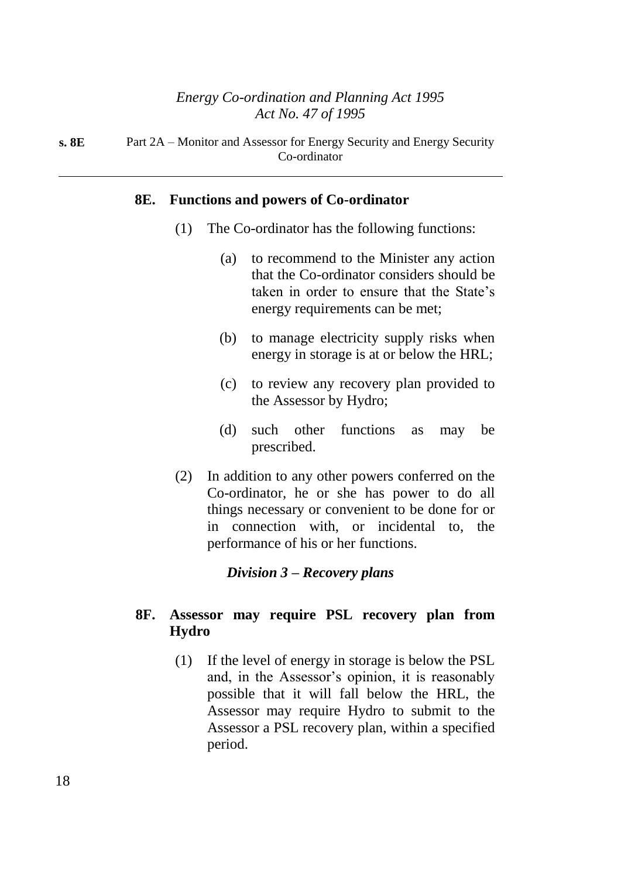**s. 8E** Part 2A – Monitor and Assessor for Energy Security and Energy Security Co-ordinator

#### **8E. Functions and powers of Co-ordinator**

- (1) The Co-ordinator has the following functions:
	- (a) to recommend to the Minister any action that the Co-ordinator considers should be taken in order to ensure that the State's energy requirements can be met;
	- (b) to manage electricity supply risks when energy in storage is at or below the HRL;
	- (c) to review any recovery plan provided to the Assessor by Hydro;
	- (d) such other functions as may be prescribed.
- (2) In addition to any other powers conferred on the Co-ordinator, he or she has power to do all things necessary or convenient to be done for or in connection with, or incidental to, the performance of his or her functions.

#### *Division 3 – Recovery plans*

## **8F. Assessor may require PSL recovery plan from Hydro**

(1) If the level of energy in storage is below the PSL and, in the Assessor's opinion, it is reasonably possible that it will fall below the HRL, the Assessor may require Hydro to submit to the Assessor a PSL recovery plan, within a specified period.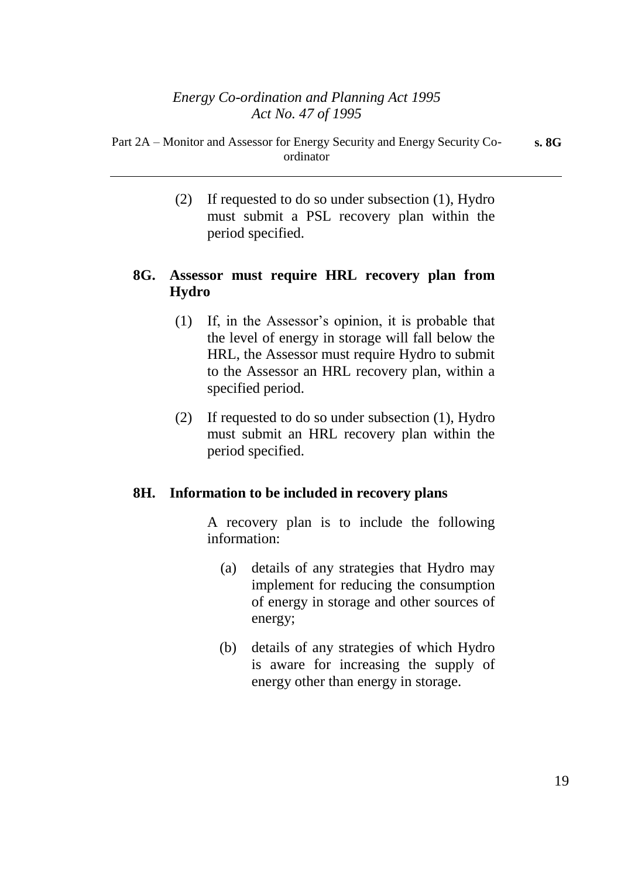(2) If requested to do so under subsection (1), Hydro must submit a PSL recovery plan within the period specified.

# **8G. Assessor must require HRL recovery plan from Hydro**

- (1) If, in the Assessor's opinion, it is probable that the level of energy in storage will fall below the HRL, the Assessor must require Hydro to submit to the Assessor an HRL recovery plan, within a specified period.
- (2) If requested to do so under subsection (1), Hydro must submit an HRL recovery plan within the period specified.

## **8H. Information to be included in recovery plans**

A recovery plan is to include the following information:

- (a) details of any strategies that Hydro may implement for reducing the consumption of energy in storage and other sources of energy;
- (b) details of any strategies of which Hydro is aware for increasing the supply of energy other than energy in storage.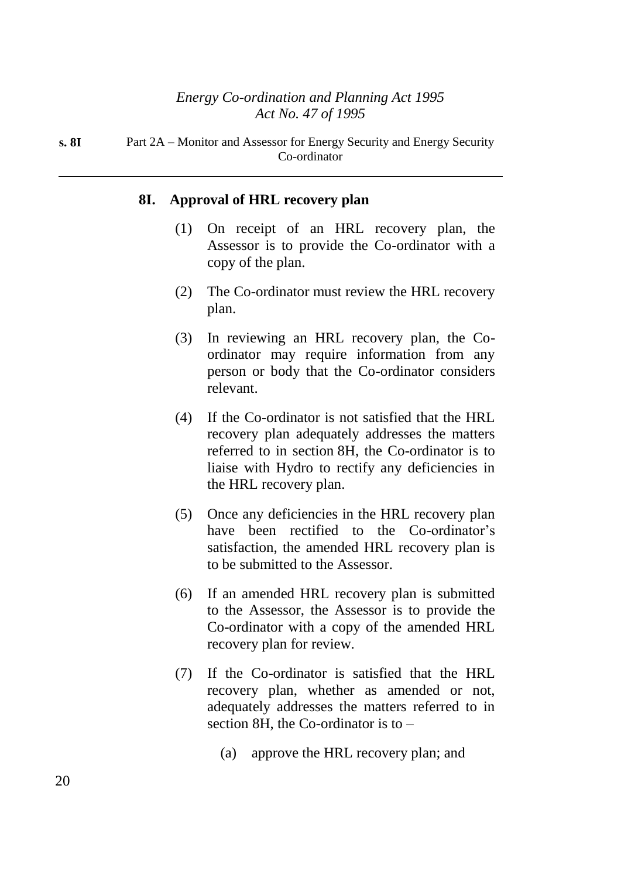**s. 8I** Part 2A – Monitor and Assessor for Energy Security and Energy Security Co-ordinator

#### **8I. Approval of HRL recovery plan**

- (1) On receipt of an HRL recovery plan, the Assessor is to provide the Co-ordinator with a copy of the plan.
- (2) The Co-ordinator must review the HRL recovery plan.
- (3) In reviewing an HRL recovery plan, the Coordinator may require information from any person or body that the Co-ordinator considers relevant.
- (4) If the Co-ordinator is not satisfied that the HRL recovery plan adequately addresses the matters referred to in section 8H, the Co-ordinator is to liaise with Hydro to rectify any deficiencies in the HRL recovery plan.
- (5) Once any deficiencies in the HRL recovery plan have been rectified to the Co-ordinator's satisfaction, the amended HRL recovery plan is to be submitted to the Assessor.
- (6) If an amended HRL recovery plan is submitted to the Assessor, the Assessor is to provide the Co-ordinator with a copy of the amended HRL recovery plan for review.
- (7) If the Co-ordinator is satisfied that the HRL recovery plan, whether as amended or not, adequately addresses the matters referred to in section 8H, the Co-ordinator is to –
	- (a) approve the HRL recovery plan; and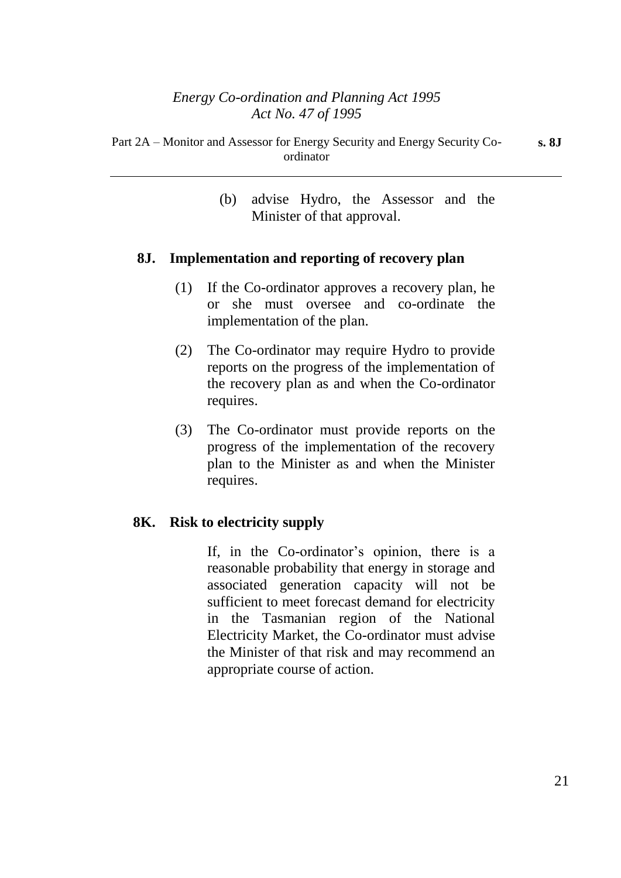(b) advise Hydro, the Assessor and the Minister of that approval.

### **8J. Implementation and reporting of recovery plan**

- (1) If the Co-ordinator approves a recovery plan, he or she must oversee and co-ordinate the implementation of the plan.
- (2) The Co-ordinator may require Hydro to provide reports on the progress of the implementation of the recovery plan as and when the Co-ordinator requires.
- (3) The Co-ordinator must provide reports on the progress of the implementation of the recovery plan to the Minister as and when the Minister requires.

## **8K. Risk to electricity supply**

If, in the Co-ordinator's opinion, there is a reasonable probability that energy in storage and associated generation capacity will not be sufficient to meet forecast demand for electricity in the Tasmanian region of the National Electricity Market, the Co-ordinator must advise the Minister of that risk and may recommend an appropriate course of action.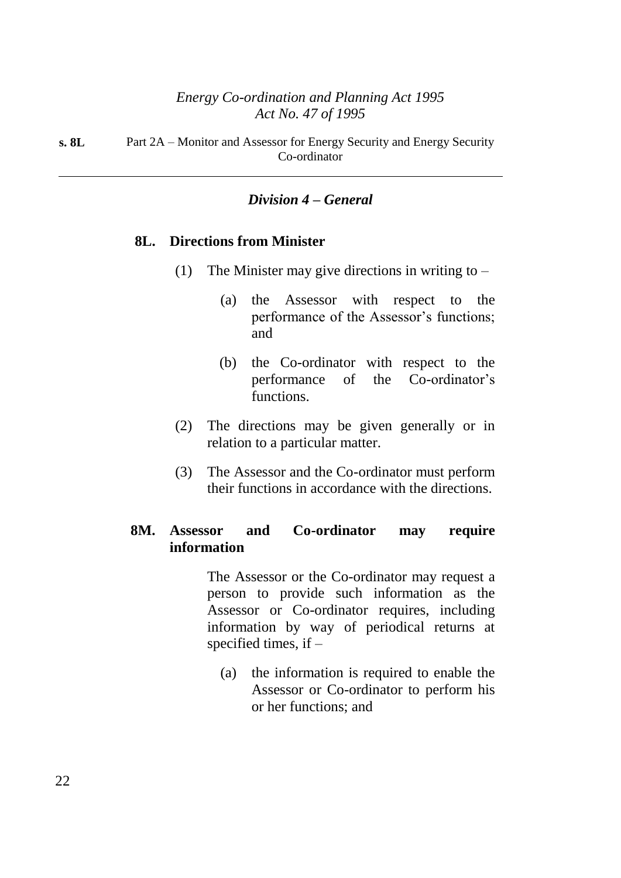## *Division 4 – General*

#### **8L. Directions from Minister**

- (1) The Minister may give directions in writing to  $-$ 
	- (a) the Assessor with respect to the performance of the Assessor's functions; and
	- (b) the Co-ordinator with respect to the performance of the Co-ordinator's functions.
- (2) The directions may be given generally or in relation to a particular matter.
- (3) The Assessor and the Co-ordinator must perform their functions in accordance with the directions.

## **8M. Assessor and Co-ordinator may require information**

The Assessor or the Co-ordinator may request a person to provide such information as the Assessor or Co-ordinator requires, including information by way of periodical returns at specified times, if –

(a) the information is required to enable the Assessor or Co-ordinator to perform his or her functions; and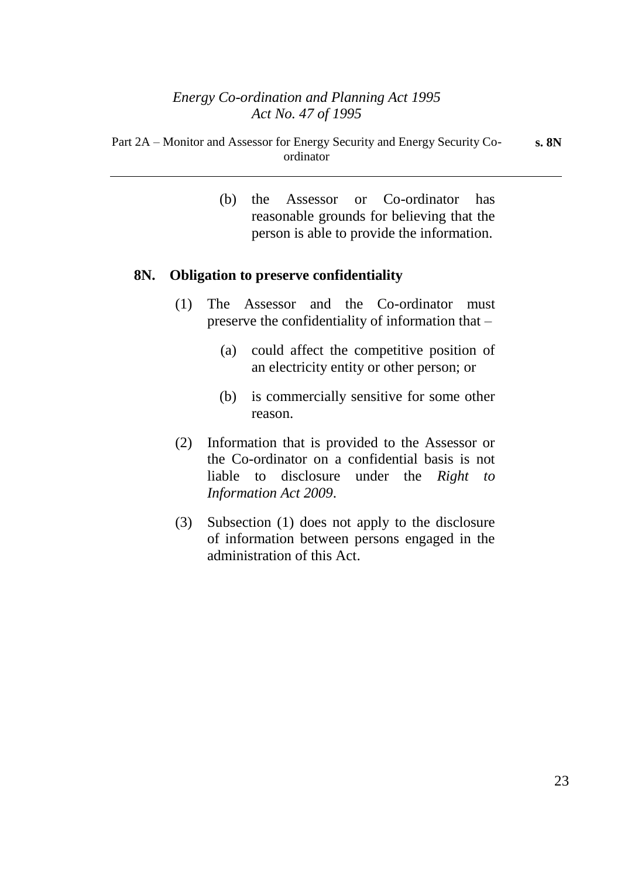(b) the Assessor or Co-ordinator has reasonable grounds for believing that the person is able to provide the information.

### **8N. Obligation to preserve confidentiality**

- (1) The Assessor and the Co-ordinator must preserve the confidentiality of information that –
	- (a) could affect the competitive position of an electricity entity or other person; or
	- (b) is commercially sensitive for some other reason.
- (2) Information that is provided to the Assessor or the Co-ordinator on a confidential basis is not liable to disclosure under the *Right to Information Act 2009*.
- (3) Subsection (1) does not apply to the disclosure of information between persons engaged in the administration of this Act.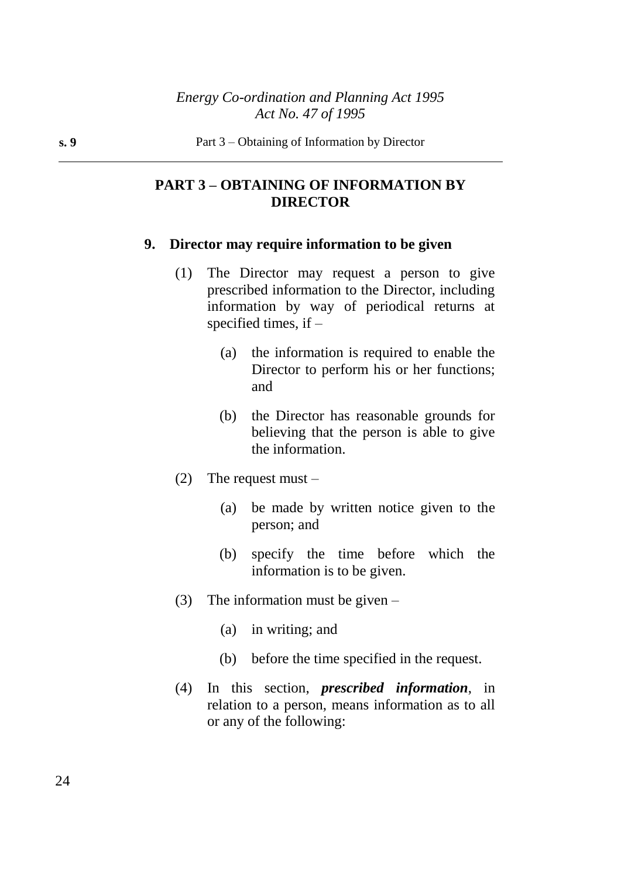## **PART 3 – OBTAINING OF INFORMATION BY DIRECTOR**

#### **9. Director may require information to be given**

- (1) The Director may request a person to give prescribed information to the Director, including information by way of periodical returns at specified times, if –
	- (a) the information is required to enable the Director to perform his or her functions; and
	- (b) the Director has reasonable grounds for believing that the person is able to give the information.
- (2) The request must  $-$ 
	- (a) be made by written notice given to the person; and
	- (b) specify the time before which the information is to be given.
- (3) The information must be given
	- (a) in writing; and
	- (b) before the time specified in the request.
- (4) In this section, *prescribed information*, in relation to a person, means information as to all or any of the following: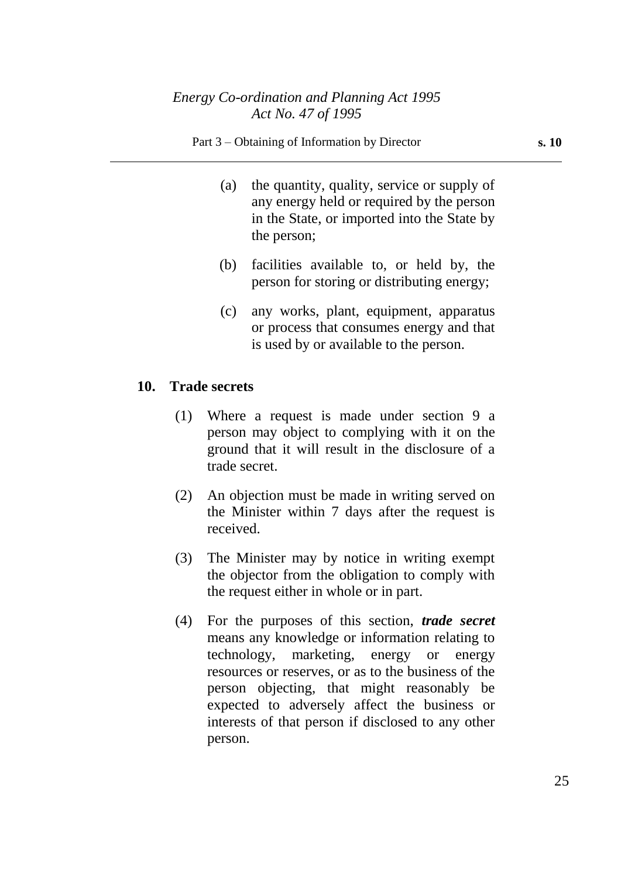#### Part 3 – Obtaining of Information by Director **s. 10**

- (a) the quantity, quality, service or supply of any energy held or required by the person in the State, or imported into the State by the person;
- (b) facilities available to, or held by, the person for storing or distributing energy;
- (c) any works, plant, equipment, apparatus or process that consumes energy and that is used by or available to the person.

#### **10. Trade secrets**

- (1) Where a request is made under section 9 a person may object to complying with it on the ground that it will result in the disclosure of a trade secret.
- (2) An objection must be made in writing served on the Minister within 7 days after the request is received.
- (3) The Minister may by notice in writing exempt the objector from the obligation to comply with the request either in whole or in part.
- (4) For the purposes of this section, *trade secret* means any knowledge or information relating to technology, marketing, energy or energy resources or reserves, or as to the business of the person objecting, that might reasonably be expected to adversely affect the business or interests of that person if disclosed to any other person.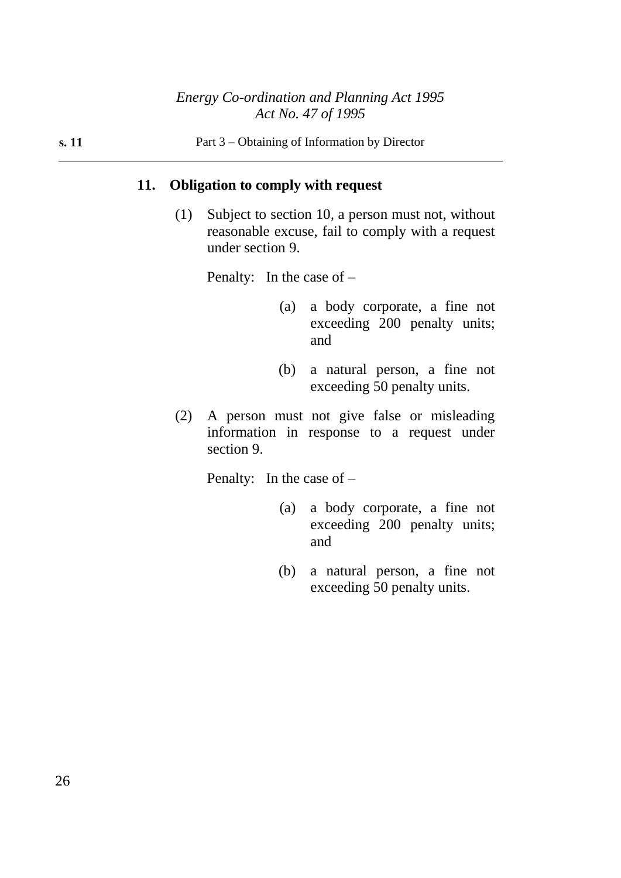## **11. Obligation to comply with request**

(1) Subject to section 10, a person must not, without reasonable excuse, fail to comply with a request under section 9.

Penalty: In the case of –

- (a) a body corporate, a fine not exceeding 200 penalty units; and
- (b) a natural person, a fine not exceeding 50 penalty units.
- (2) A person must not give false or misleading information in response to a request under section 9.

Penalty: In the case of –

- (a) a body corporate, a fine not exceeding 200 penalty units; and
- (b) a natural person, a fine not exceeding 50 penalty units.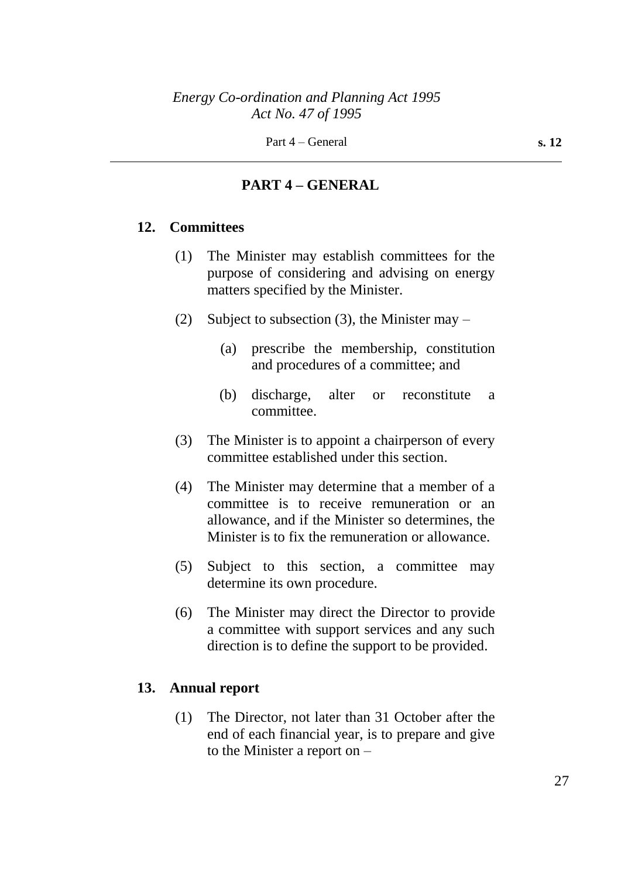## **PART 4 – GENERAL**

### **12. Committees**

- (1) The Minister may establish committees for the purpose of considering and advising on energy matters specified by the Minister.
- (2) Subject to subsection (3), the Minister may  $-$ 
	- (a) prescribe the membership, constitution and procedures of a committee; and
	- (b) discharge, alter or reconstitute a committee.
- (3) The Minister is to appoint a chairperson of every committee established under this section.
- (4) The Minister may determine that a member of a committee is to receive remuneration or an allowance, and if the Minister so determines, the Minister is to fix the remuneration or allowance.
- (5) Subject to this section, a committee may determine its own procedure.
- (6) The Minister may direct the Director to provide a committee with support services and any such direction is to define the support to be provided.

## **13. Annual report**

(1) The Director, not later than 31 October after the end of each financial year, is to prepare and give to the Minister a report on –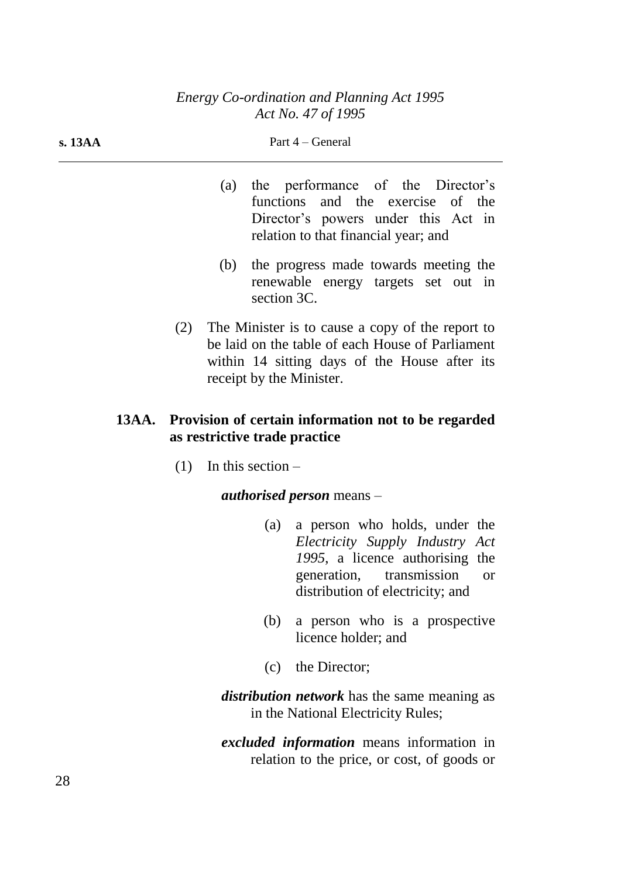**s. 13AA** Part 4 – General

|     |                               | (a) the performance of the Director's<br>functions and the exercise of the<br>Director's powers under this Act in<br>relation to that financial year; and                            |
|-----|-------------------------------|--------------------------------------------------------------------------------------------------------------------------------------------------------------------------------------|
|     | (b)<br>section 3C.            | the progress made towards meeting the<br>renewable energy targets set out in                                                                                                         |
|     | receipt by the Minister.      | (2) The Minister is to cause a copy of the report to<br>be laid on the table of each House of Parliament<br>within 14 sitting days of the House after its                            |
|     | as restrictive trade practice | 13AA. Provision of certain information not to be regarded                                                                                                                            |
| (1) | In this section $-$           |                                                                                                                                                                                      |
|     |                               | <i>authorised person</i> means –                                                                                                                                                     |
|     |                               | (a) a person who holds, under the<br>Electricity Supply Industry Act<br>1995, a licence authorising the<br>generation, transmission<br><b>or</b><br>distribution of electricity; and |
|     | (b)                           | a person who is a prospective<br>licence holder; and                                                                                                                                 |
|     | (c)                           | the Director;                                                                                                                                                                        |
|     |                               | <i>distribution network</i> has the same meaning as<br>in the National Electricity Rules;                                                                                            |

*excluded information* means information in relation to the price, or cost, of goods or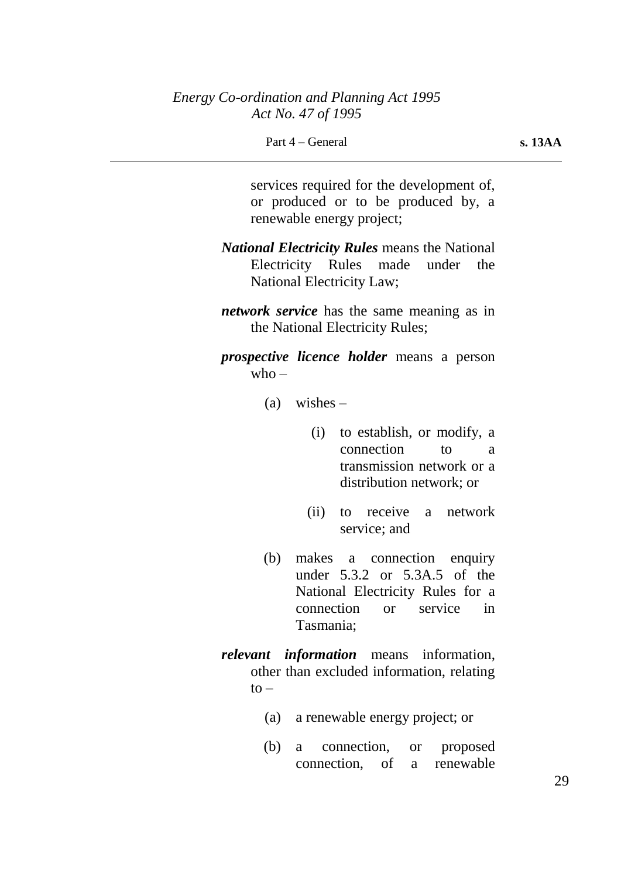Part 4 – General **s. 13AA** 

services required for the development of, or produced or to be produced by, a renewable energy project;

- *National Electricity Rules* means the National Electricity Rules made under the National Electricity Law;
- *network service* has the same meaning as in the National Electricity Rules;
- *prospective licence holder* means a person  $who -$ 
	- $(a)$  wishes
		- (i) to establish, or modify, a connection to a transmission network or a distribution network; or
		- (ii) to receive a network service; and
	- (b) makes a connection enquiry under 5.3.2 or 5.3A.5 of the National Electricity Rules for a connection or service in Tasmania;
- *relevant information* means information, other than excluded information, relating  $\mathsf{to}$ 
	- (a) a renewable energy project; or
	- (b) a connection, or proposed connection, of a renewable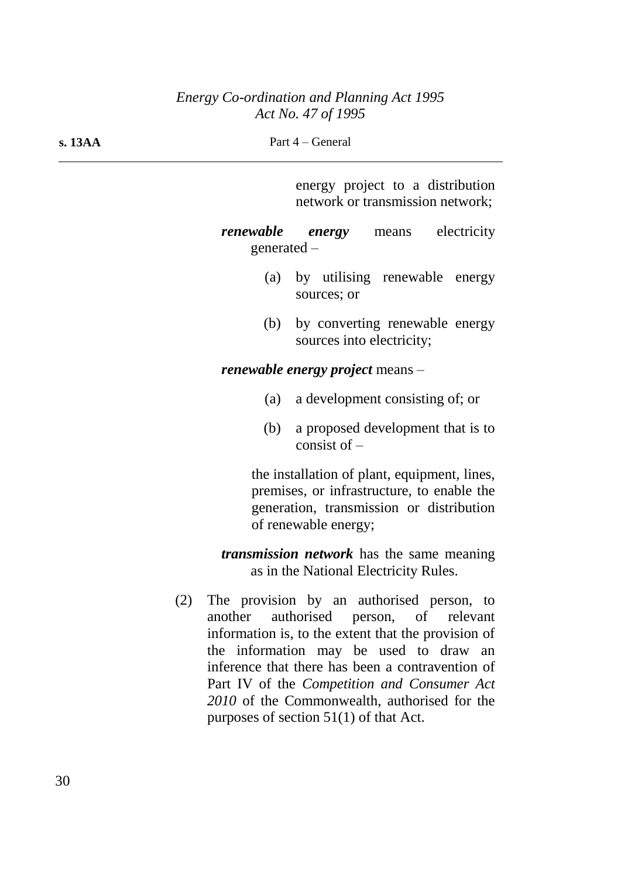| s. 13AA |           | Part 4 – General                                                                                                                                               |
|---------|-----------|----------------------------------------------------------------------------------------------------------------------------------------------------------------|
|         |           | energy project to a distribution<br>network or transmission network;                                                                                           |
|         | renewable | electricity<br>energy<br>means<br>generated $-$                                                                                                                |
|         | (a)       | by utilising renewable<br>energy<br>sources; or                                                                                                                |
|         | (b)       | by converting renewable energy<br>sources into electricity;                                                                                                    |
|         |           | <i>renewable energy project</i> means –                                                                                                                        |
|         | (a)       | a development consisting of; or                                                                                                                                |
|         | (b)       | a proposed development that is to<br>consist of $-$                                                                                                            |
|         |           | the installation of plant, equipment, lines,<br>premises, or infrastructure, to enable the<br>generation, transmission or distribution<br>of renewable energy; |
|         |           | <i>transmission network</i> has the same meaning<br>as in the National Electricity Rules.                                                                      |
|         |           | The provision by an outhorized negative                                                                                                                        |

(2) The provision by an authorised person, to another authorised person, of relevant information is, to the extent that the provision of the information may be used to draw an inference that there has been a contravention of Part IV of the *Competition and Consumer Act 2010* of the Commonwealth, authorised for the purposes of section 51(1) of that Act.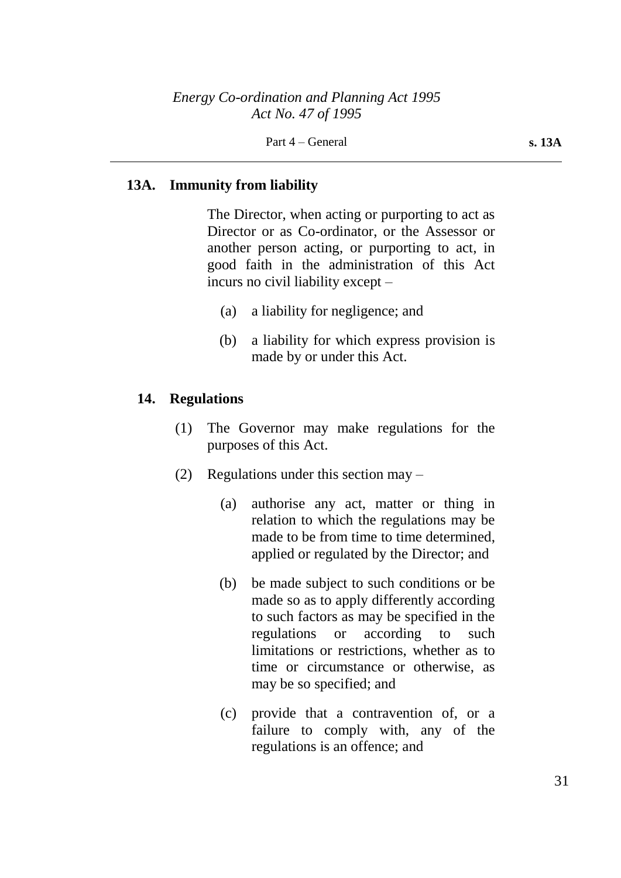## **13A. Immunity from liability**

The Director, when acting or purporting to act as Director or as Co-ordinator, or the Assessor or another person acting, or purporting to act, in good faith in the administration of this Act incurs no civil liability except –

- (a) a liability for negligence; and
- (b) a liability for which express provision is made by or under this Act.

### **14. Regulations**

- (1) The Governor may make regulations for the purposes of this Act.
- (2) Regulations under this section may
	- (a) authorise any act, matter or thing in relation to which the regulations may be made to be from time to time determined, applied or regulated by the Director; and
	- (b) be made subject to such conditions or be made so as to apply differently according to such factors as may be specified in the regulations or according to such limitations or restrictions, whether as to time or circumstance or otherwise, as may be so specified; and
	- (c) provide that a contravention of, or a failure to comply with, any of the regulations is an offence; and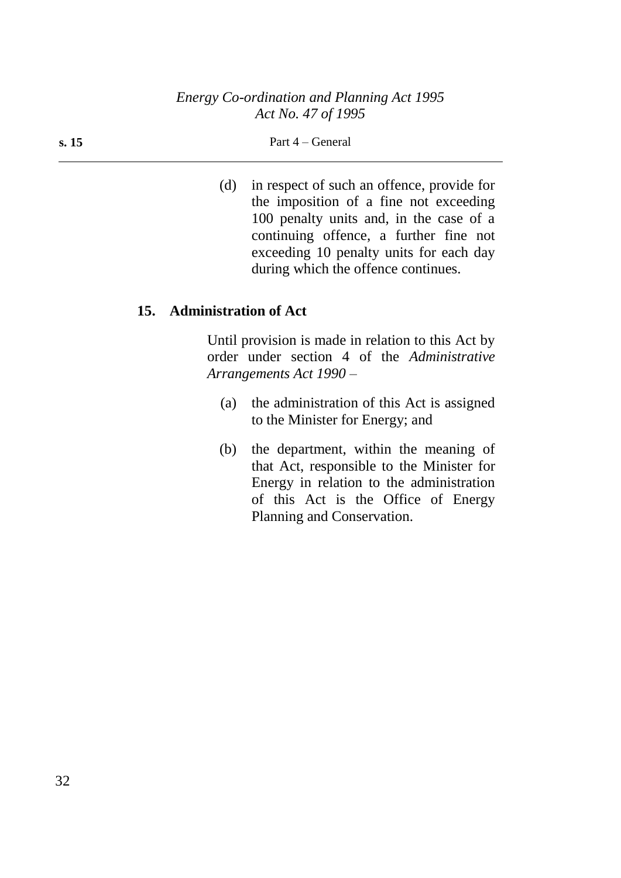#### **s. 15** Part 4 – General

(d) in respect of such an offence, provide for the imposition of a fine not exceeding 100 penalty units and, in the case of a continuing offence, a further fine not exceeding 10 penalty units for each day during which the offence continues.

### **15. Administration of Act**

Until provision is made in relation to this Act by order under section 4 of the *Administrative Arrangements Act 1990* –

- (a) the administration of this Act is assigned to the Minister for Energy; and
- (b) the department, within the meaning of that Act, responsible to the Minister for Energy in relation to the administration of this Act is the Office of Energy Planning and Conservation.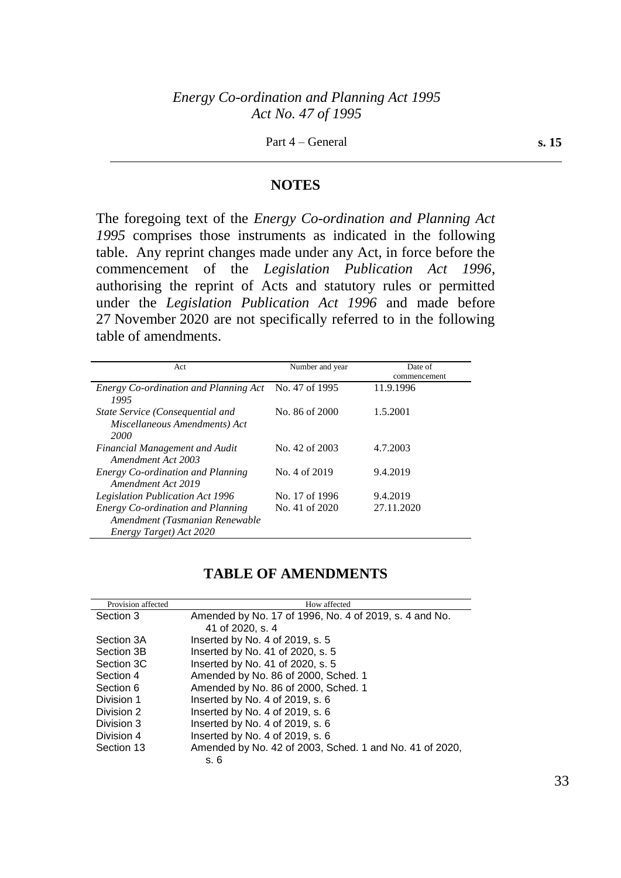#### **NOTES**

The foregoing text of the *Energy Co-ordination and Planning Act 1995* comprises those instruments as indicated in the following table. Any reprint changes made under any Act, in force before the commencement of the *Legislation Publication Act 1996*, authorising the reprint of Acts and statutory rules or permitted under the *Legislation Publication Act 1996* and made before 27 November 2020 are not specifically referred to in the following table of amendments.

| Act                                                                                                   | Number and year | Date of<br>commencement |
|-------------------------------------------------------------------------------------------------------|-----------------|-------------------------|
| <i>Energy Co-ordination and Planning Act</i> No. 47 of 1995<br>1995                                   |                 | 11.9.1996               |
| State Service (Consequential and<br>Miscellaneous Amendments) Act<br>2000                             | No. 86 of 2000  | 1.5.2001                |
| <b>Financial Management and Audit</b><br>Amendment Act 2003                                           | No. 42 of 2003  | 4.7.2003                |
| Energy Co-ordination and Planning<br>Amendment Act 2019                                               | No. 4 of 2019   | 9.4.2019                |
| <b>Legislation Publication Act 1996</b>                                                               | No. 17 of 1996  | 9.4.2019                |
| <b>Energy Co-ordination and Planning</b><br>Amendment (Tasmanian Renewable<br>Energy Target) Act 2020 | No. 41 of 2020  | 27.11.2020              |

## **TABLE OF AMENDMENTS**

| Provision affected | How affected                                            |
|--------------------|---------------------------------------------------------|
| Section 3          | Amended by No. 17 of 1996, No. 4 of 2019, s. 4 and No.  |
|                    | 41 of 2020, s. 4                                        |
| Section 3A         | Inserted by No. 4 of 2019, s. 5                         |
| Section 3B         | Inserted by No. 41 of 2020, s. 5                        |
| Section 3C         | Inserted by No. 41 of 2020, s. 5                        |
| Section 4          | Amended by No. 86 of 2000, Sched. 1                     |
| Section 6          | Amended by No. 86 of 2000, Sched. 1                     |
| Division 1         | Inserted by No. 4 of 2019, s. 6                         |
| Division 2         | Inserted by No. 4 of 2019, s. 6                         |
| Division 3         | Inserted by No. 4 of 2019, s. 6                         |
| Division 4         | Inserted by No. 4 of 2019, s. $6$                       |
| Section 13         | Amended by No. 42 of 2003, Sched. 1 and No. 41 of 2020, |
|                    | s. 6                                                    |